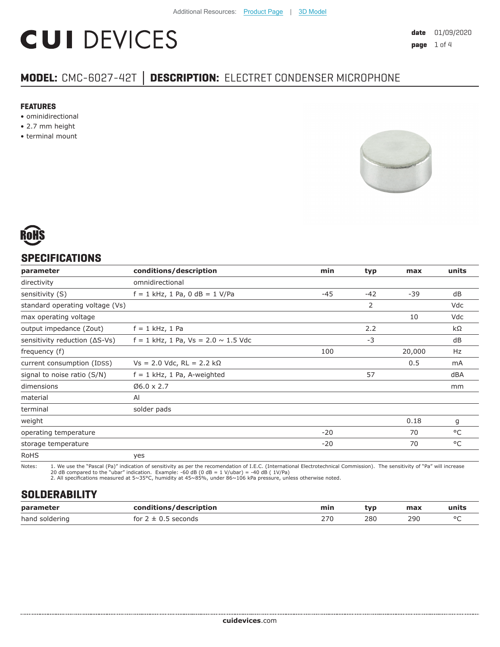# **CUI DEVICES**

### **MODEL:** CMC-6027-42T **│ DESCRIPTION:** ELECTRET CONDENSER MICROPHONE

#### **FEATURES**

- ominidirectional
- 2.7 mm height
- terminal mount





#### **SPECIFICATIONS**

| parameter                               | conditions/description                     | min   | typ   | max    | units |
|-----------------------------------------|--------------------------------------------|-------|-------|--------|-------|
| directivity                             | omnidirectional                            |       |       |        |       |
| sensitivity (S)                         | $f = 1$ kHz, 1 Pa, 0 dB = 1 V/Pa           | -45   | $-42$ | $-39$  | dB    |
| standard operating voltage (Vs)         |                                            |       | 2     |        | Vdc   |
| max operating voltage                   |                                            |       |       | 10     | Vdc   |
| output impedance (Zout)                 | $f = 1$ kHz, 1 Pa                          |       | 2.2   |        | kΩ    |
| sensitivity reduction $( \Delta S$ -Vs) | $f = 1$ kHz, 1 Pa, Vs = 2.0 $\sim$ 1.5 Vdc |       | $-3$  |        | dB    |
| frequency (f)                           |                                            | 100   |       | 20,000 | Hz    |
| current consumption (IDSS)              | $Vs = 2.0$ Vdc, RL = 2.2 kΩ                |       |       | 0.5    | mA    |
| signal to noise ratio (S/N)             | $f = 1$ kHz, 1 Pa, A-weighted              |       | 57    |        | dBA   |
| dimensions                              | $06.0 \times 2.7$                          |       |       |        | mm    |
| material                                | AI                                         |       |       |        |       |
| terminal                                | solder pads                                |       |       |        |       |
| weight                                  |                                            |       |       | 0.18   | g     |
| operating temperature                   |                                            | $-20$ |       | 70     | °C    |
| storage temperature                     |                                            | $-20$ |       | 70     | °C    |
| <b>RoHS</b>                             | yes                                        |       |       |        |       |

Notes: 1. We use the "Pascal (Pa)" indication of sensitivity as per the recomendation of I.E.C. (International Electrotechnical Commission). The sensitivity of "Pa" will increase

20 dB compared to the "ubar" indication. Example: -60 dB (0 dB = 1 V/ubar) = -40 dB ( 1V/Pa) 2. All specifications measured at 5~35°C, humidity at 45~85%, under 86~106 kPa pressure, unless otherwise noted.

#### **SOLDERABILITY**

| parameter      | conditions/description                  | min | tvp | max | units  |
|----------------|-----------------------------------------|-----|-----|-----|--------|
| hand soldering | <sup>-</sup> seconds<br>for $2 \pm 0.5$ | 27C | 280 | 290 | $\sim$ |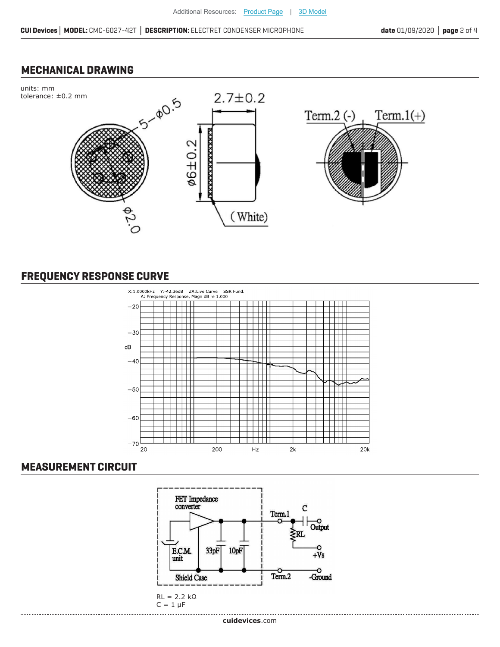#### **MECHANICAL DRAWING**



#### **FREQUENCY RESPONSE CURVE**



#### **MEASUREMENT CIRCUIT**

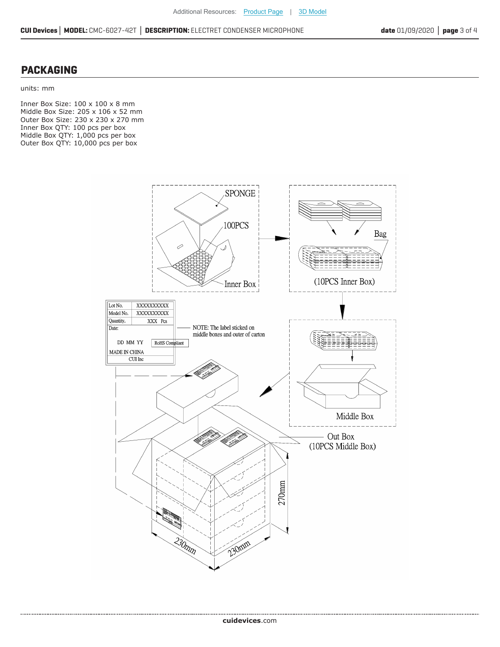#### **PACKAGING**

....................................

units: mm

Inner Box Size: 100 x 100 x 8 mm Middle Box Size: 205 x 106 x 52 mm Outer Box Size: 230 x 230 x 270 mm Inner Box QTY: 100 pcs per box Middle Box QTY: 1,000 pcs per box Outer Box QTY: 10,000 pcs per box